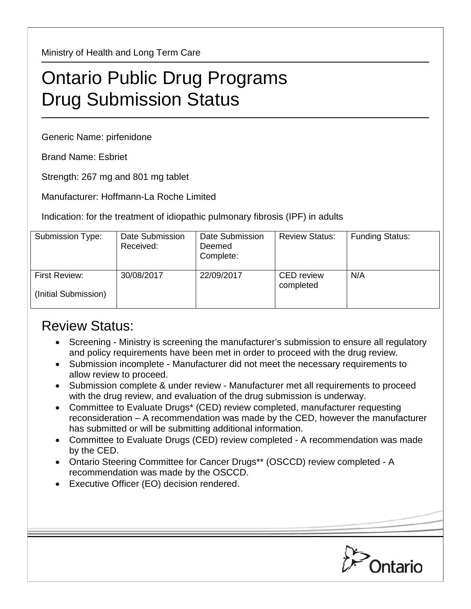Ministry of Health and Long Term Care

## Ontario Public Drug Programs Drug Submission Status

Generic Name: pirfenidone

Brand Name: Esbriet

Strength: 267 mg and 801 mg tablet

Manufacturer: Hoffmann-La Roche Limited

Indication: for the treatment of idiopathic pulmonary fibrosis (IPF) in adults

| Submission Type:                      | Date Submission<br>Received: | Date Submission<br>Deemed<br>Complete: | <b>Review Status:</b>          | <b>Funding Status:</b> |
|---------------------------------------|------------------------------|----------------------------------------|--------------------------------|------------------------|
| First Review:<br>(Initial Submission) | 30/08/2017                   | 22/09/2017                             | <b>CED</b> review<br>completed | N/A                    |

## Review Status:

- Screening Ministry is screening the manufacturer's submission to ensure all regulatory and policy requirements have been met in order to proceed with the drug review.
- Submission incomplete Manufacturer did not meet the necessary requirements to allow review to proceed.
- Submission complete & under review Manufacturer met all requirements to proceed with the drug review, and evaluation of the drug submission is underway.
- Committee to Evaluate Drugs\* (CED) review completed, manufacturer requesting reconsideration – A recommendation was made by the CED, however the manufacturer has submitted or will be submitting additional information.
- Committee to Evaluate Drugs (CED) review completed A recommendation was made by the CED.
- Ontario Steering Committee for Cancer Drugs\*\* (OSCCD) review completed A recommendation was made by the OSCCD.
- Executive Officer (EO) decision rendered.